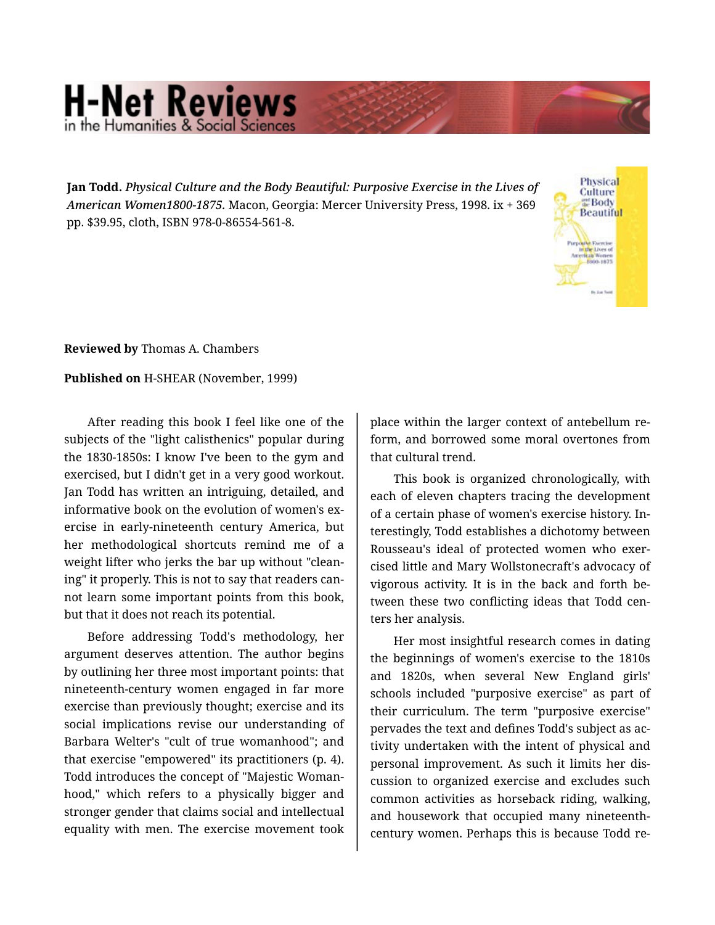## **H-Net Reviews** in the Humanities & Social Scie

**Jan Todd.** *Physical Culture and the Body Beautiful: Purposive Exercise in the Lives of American Women1800-1875.* Macon, Georgia: Mercer University Press, 1998. ix + 369 pp. \$39.95, cloth, ISBN 978-0-86554-561-8.



**Reviewed by** Thomas A. Chambers

## **Published on** H-SHEAR (November, 1999)

After reading this book I feel like one of the subjects of the "light calisthenics" popular during the 1830-1850s: I know I've been to the gym and exercised, but I didn't get in a very good workout. Jan Todd has written an intriguing, detailed, and informative book on the evolution of women's exercise in early-nineteenth century America, but her methodological shortcuts remind me of a weight lifter who jerks the bar up without "clean‐ ing" it properly. This is not to say that readers can‐ not learn some important points from this book, but that it does not reach its potential.

Before addressing Todd's methodology, her argument deserves attention. The author begins by outlining her three most important points: that nineteenth-century women engaged in far more exercise than previously thought; exercise and its social implications revise our understanding of Barbara Welter's "cult of true womanhood"; and that exercise "empowered" its practitioners (p. 4). Todd introduces the concept of "Majestic Woman‐ hood," which refers to a physically bigger and stronger gender that claims social and intellectual equality with men. The exercise movement took

place within the larger context of antebellum re‐ form, and borrowed some moral overtones from that cultural trend.

This book is organized chronologically, with each of eleven chapters tracing the development of a certain phase of women's exercise history. In‐ terestingly, Todd establishes a dichotomy between Rousseau's ideal of protected women who exer‐ cised little and Mary Wollstonecraft's advocacy of vigorous activity. It is in the back and forth be‐ tween these two conflicting ideas that Todd cen‐ ters her analysis.

Her most insightful research comes in dating the beginnings of women's exercise to the 1810s and 1820s, when several New England girls' schools included "purposive exercise" as part of their curriculum. The term "purposive exercise" pervades the text and defines Todd's subject as ac‐ tivity undertaken with the intent of physical and personal improvement. As such it limits her dis‐ cussion to organized exercise and excludes such common activities as horseback riding, walking, and housework that occupied many nineteenthcentury women. Perhaps this is because Todd re‐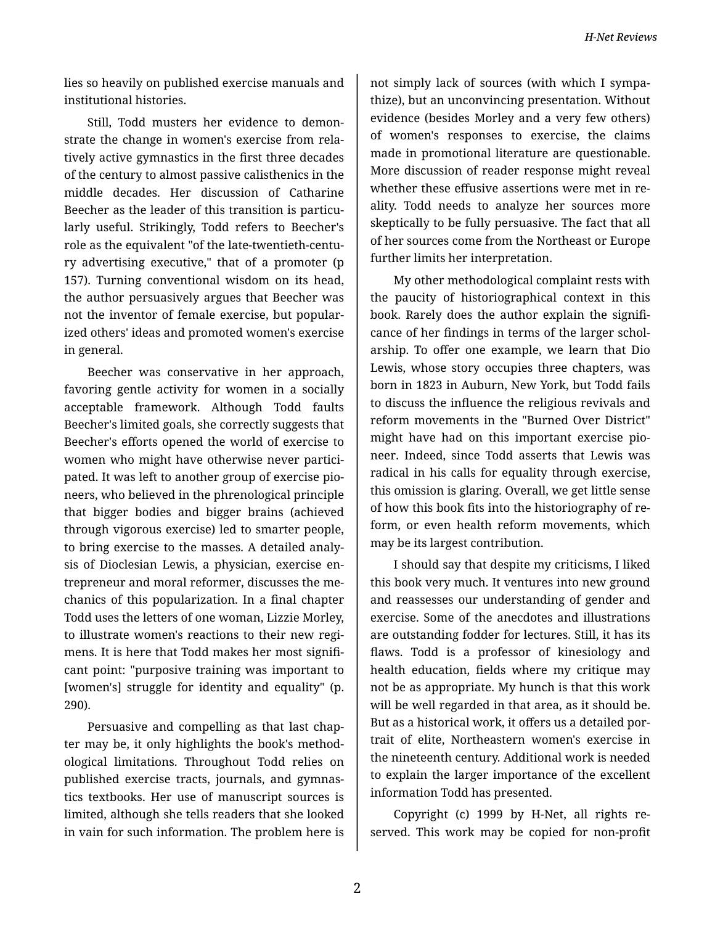*H-Net Reviews*

lies so heavily on published exercise manuals and institutional histories.

Still, Todd musters her evidence to demon‐ strate the change in women's exercise from rela‐ tively active gymnastics in the first three decades of the century to almost passive calisthenics in the middle decades. Her discussion of Catharine Beecher as the leader of this transition is particularly useful. Strikingly, Todd refers to Beecher's role as the equivalent "of the late-twentieth-centu‐ ry advertising executive," that of a promoter (p 157). Turning conventional wisdom on its head, the author persuasively argues that Beecher was not the inventor of female exercise, but popular‐ ized others' ideas and promoted women's exercise in general.

Beecher was conservative in her approach, favoring gentle activity for women in a socially acceptable framework. Although Todd faults Beecher's limited goals, she correctly suggests that Beecher's efforts opened the world of exercise to women who might have otherwise never participated. It was left to another group of exercise pio‐ neers, who believed in the phrenological principle that bigger bodies and bigger brains (achieved through vigorous exercise) led to smarter people, to bring exercise to the masses. A detailed analy‐ sis of Dioclesian Lewis, a physician, exercise en‐ trepreneur and moral reformer, discusses the me‐ chanics of this popularization. In a final chapter Todd uses the letters of one woman, Lizzie Morley, to illustrate women's reactions to their new regi‐ mens. It is here that Todd makes her most signifi‐ cant point: "purposive training was important to [women's] struggle for identity and equality" (p. 290).

Persuasive and compelling as that last chap‐ ter may be, it only highlights the book's method‐ ological limitations. Throughout Todd relies on published exercise tracts, journals, and gymnas‐ tics textbooks. Her use of manuscript sources is limited, although she tells readers that she looked in vain for such information. The problem here is

not simply lack of sources (with which I sympa‐ thize), but an unconvincing presentation. Without evidence (besides Morley and a very few others) of women's responses to exercise, the claims made in promotional literature are questionable. More discussion of reader response might reveal whether these effusive assertions were met in reality. Todd needs to analyze her sources more skeptically to be fully persuasive. The fact that all of her sources come from the Northeast or Europe further limits her interpretation.

My other methodological complaint rests with the paucity of historiographical context in this book. Rarely does the author explain the signifi‐ cance of her findings in terms of the larger schol‐ arship. To offer one example, we learn that Dio Lewis, whose story occupies three chapters, was born in 1823 in Auburn, New York, but Todd fails to discuss the influence the religious revivals and reform movements in the "Burned Over District" might have had on this important exercise pio‐ neer. Indeed, since Todd asserts that Lewis was radical in his calls for equality through exercise, this omission is glaring. Overall, we get little sense of how this book fits into the historiography of re‐ form, or even health reform movements, which may be its largest contribution.

I should say that despite my criticisms, I liked this book very much. It ventures into new ground and reassesses our understanding of gender and exercise. Some of the anecdotes and illustrations are outstanding fodder for lectures. Still, it has its flaws. Todd is a professor of kinesiology and health education, fields where my critique may not be as appropriate. My hunch is that this work will be well regarded in that area, as it should be. But as a historical work, it offers us a detailed por‐ trait of elite, Northeastern women's exercise in the nineteenth century. Additional work is needed to explain the larger importance of the excellent information Todd has presented.

Copyright (c) 1999 by H-Net, all rights re‐ served. This work may be copied for non-profit